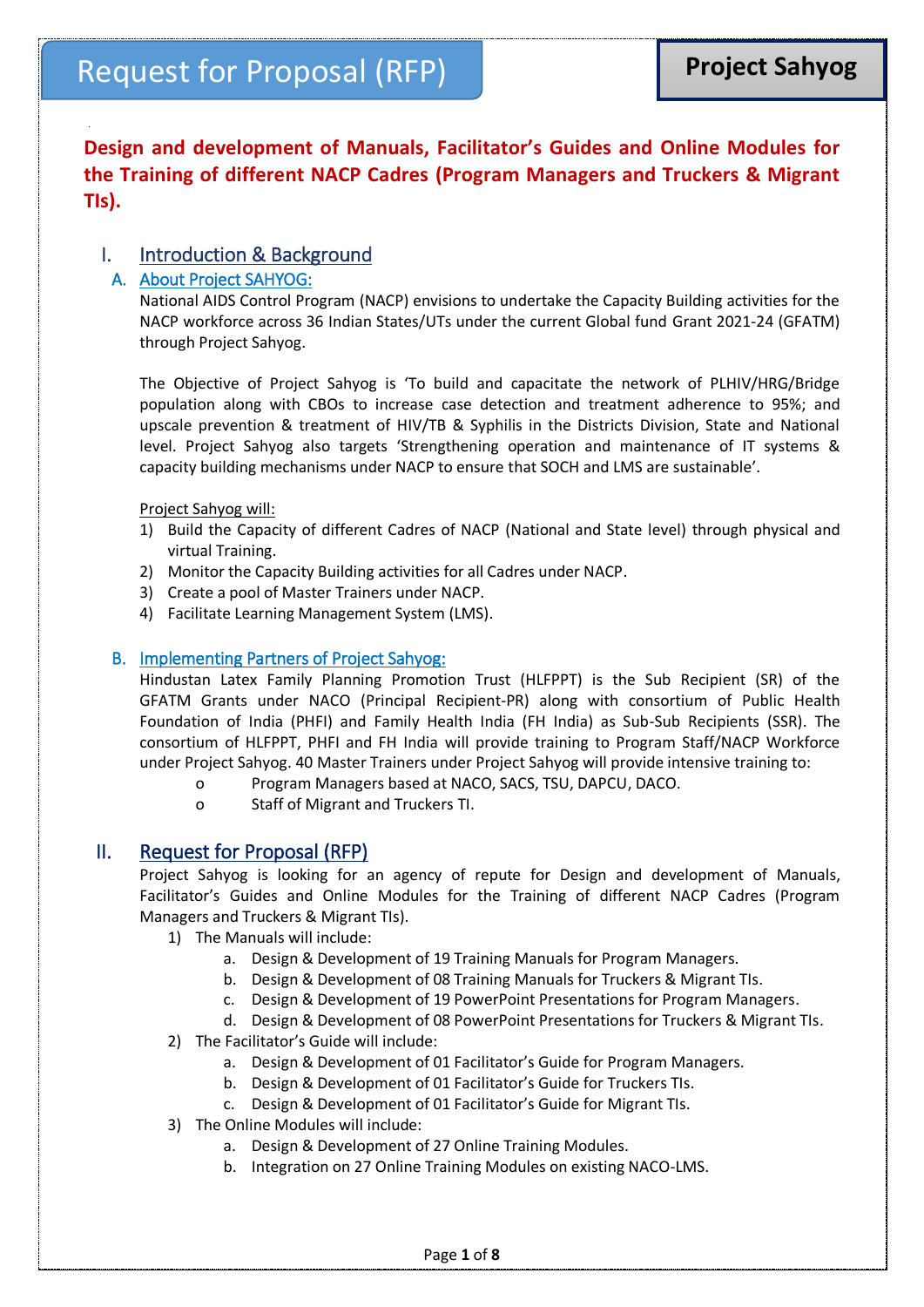**Design and development of Manuals, Facilitator's Guides and Online Modules for the Training of different NACP Cadres (Program Managers and Truckers & Migrant TIs).**

# I. Introduction & Background

# A. About Project SAHYOG:

National AIDS Control Program (NACP) envisions to undertake the Capacity Building activities for the NACP workforce across 36 Indian States/UTs under the current Global fund Grant 2021-24 (GFATM) through Project Sahyog.

The Objective of Project Sahyog is 'To build and capacitate the network of PLHIV/HRG/Bridge population along with CBOs to increase case detection and treatment adherence to 95%; and upscale prevention & treatment of HIV/TB & Syphilis in the Districts Division, State and National level. Project Sahyog also targets 'Strengthening operation and maintenance of IT systems & capacity building mechanisms under NACP to ensure that SOCH and LMS are sustainable'.

Project Sahyog will:

- 1) Build the Capacity of different Cadres of NACP (National and State level) through physical and virtual Training.
- 2) Monitor the Capacity Building activities for all Cadres under NACP.
- 3) Create a pool of Master Trainers under NACP.
- 4) Facilitate Learning Management System (LMS).

# B. Implementing Partners of Project Sahyog:

Hindustan Latex Family Planning Promotion Trust (HLFPPT) is the Sub Recipient (SR) of the GFATM Grants under NACO (Principal Recipient-PR) along with consortium of Public Health Foundation of India (PHFI) and Family Health India (FH India) as Sub-Sub Recipients (SSR). The consortium of HLFPPT, PHFI and FH India will provide training to Program Staff/NACP Workforce under Project Sahyog. 40 Master Trainers under Project Sahyog will provide intensive training to:

- o Program Managers based at NACO, SACS, TSU, DAPCU, DACO.
- o Staff of Migrant and Truckers TI.

# II. Request for Proposal (RFP)

Project Sahyog is looking for an agency of repute for Design and development of Manuals, Facilitator's Guides and Online Modules for the Training of different NACP Cadres (Program Managers and Truckers & Migrant TIs).

- 1) The Manuals will include:
	- a. Design & Development of 19 Training Manuals for Program Managers.
	- b. Design & Development of 08 Training Manuals for Truckers & Migrant TIs.
	- c. Design & Development of 19 PowerPoint Presentations for Program Managers.
	- d. Design & Development of 08 PowerPoint Presentations for Truckers & Migrant TIs.
- 2) The Facilitator's Guide will include:
	- a. Design & Development of 01 Facilitator's Guide for Program Managers.
	- b. Design & Development of 01 Facilitator's Guide for Truckers TIs.
	- c. Design & Development of 01 Facilitator's Guide for Migrant TIs.
- 3) The Online Modules will include:
	- a. Design & Development of 27 Online Training Modules.
	- b. Integration on 27 Online Training Modules on existing NACO-LMS.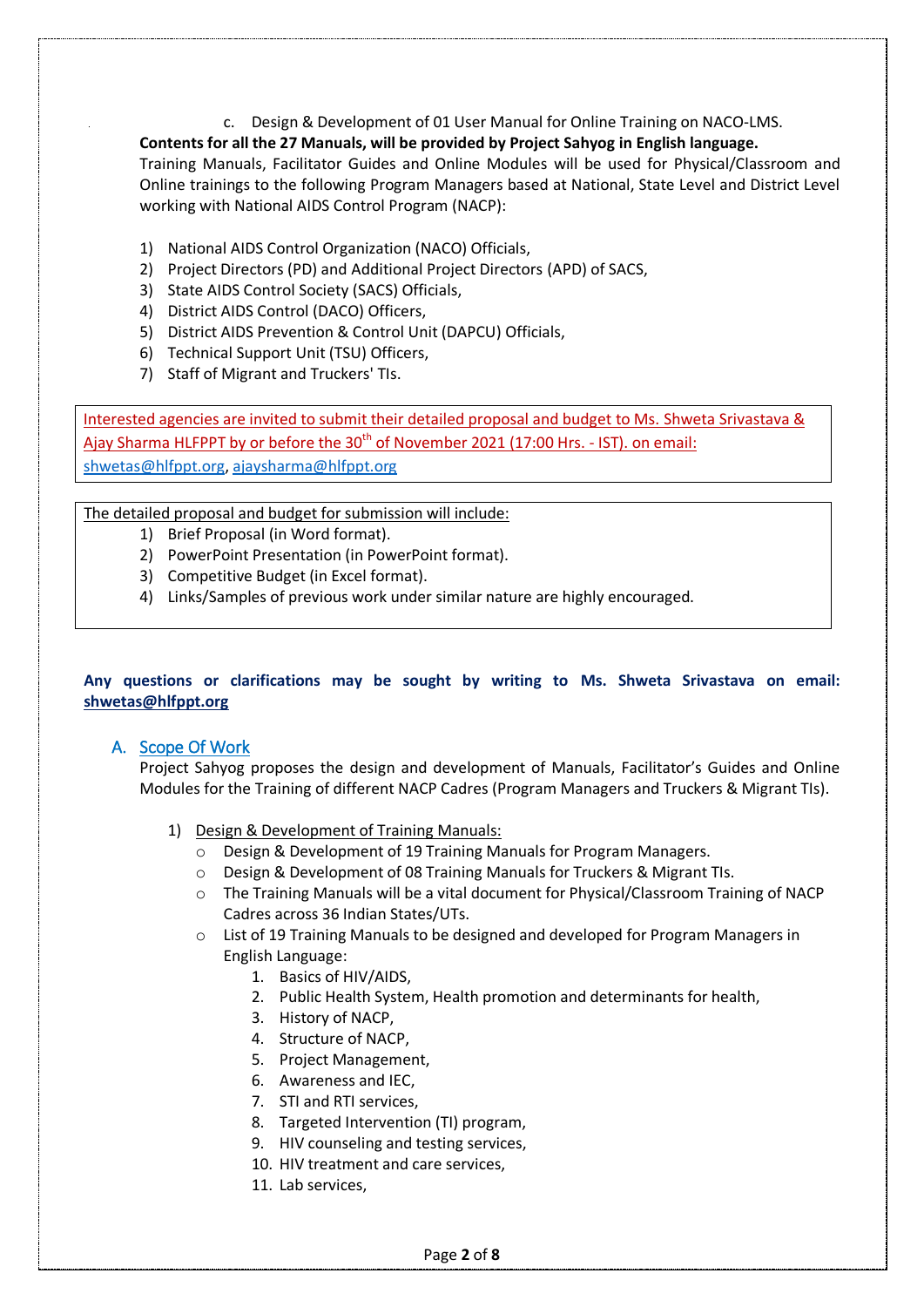c. Design & Development of 01 User Manual for Online Training on NACO-LMS.

# **Contents for all the 27 Manuals, will be provided by Project Sahyog in English language.**

Training Manuals, Facilitator Guides and Online Modules will be used for Physical/Classroom and Online trainings to the following Program Managers based at National, State Level and District Level working with National AIDS Control Program (NACP):

- 1) National AIDS Control Organization (NACO) Officials,
- 2) Project Directors (PD) and Additional Project Directors (APD) of SACS,
- 3) State AIDS Control Society (SACS) Officials,
- 4) District AIDS Control (DACO) Officers,
- 5) District AIDS Prevention & Control Unit (DAPCU) Officials,
- 6) Technical Support Unit (TSU) Officers,
- 7) Staff of Migrant and Truckers' TIs.

Interested agencies are invited to submit their detailed proposal and budget to Ms. Shweta Srivastava & Ajay Sharma HLFPPT by or before the 30<sup>th</sup> of November 2021 (17:00 Hrs. - IST). on email: [shwetas@hlfppt.org,](shwetas@hlfppt.org) [ajaysharma@hlfppt.org](mailto:ajaysharma@hlfppt.org)

The detailed proposal and budget for submission will include:

- 1) Brief Proposal (in Word format).
- 2) PowerPoint Presentation (in PowerPoint format).
- 3) Competitive Budget (in Excel format).
- 4) Links/Samples of previous work under similar nature are highly encouraged.

# **Any questions or clarifications may be sought by writing to Ms. Shweta Srivastava on email: shwetas@hlfppt.org**

# A. Scope Of Work

Project Sahyog proposes the design and development of Manuals, Facilitator's Guides and Online Modules for the Training of different NACP Cadres (Program Managers and Truckers & Migrant TIs).

- 1) Design & Development of Training Manuals:
	- o Design & Development of 19 Training Manuals for Program Managers.
	- o Design & Development of 08 Training Manuals for Truckers & Migrant TIs.
	- o The Training Manuals will be a vital document for Physical/Classroom Training of NACP Cadres across 36 Indian States/UTs.
	- o List of 19 Training Manuals to be designed and developed for Program Managers in English Language:
		- 1. Basics of HIV/AIDS,
		- 2. Public Health System, Health promotion and determinants for health,
		- 3. History of NACP,
		- 4. Structure of NACP,
		- 5. Project Management,
		- 6. Awareness and IEC,
		- 7. STI and RTI services,
		- 8. Targeted Intervention (TI) program,
		- 9. HIV counseling and testing services,
		- 10. HIV treatment and care services,
		- 11. Lab services,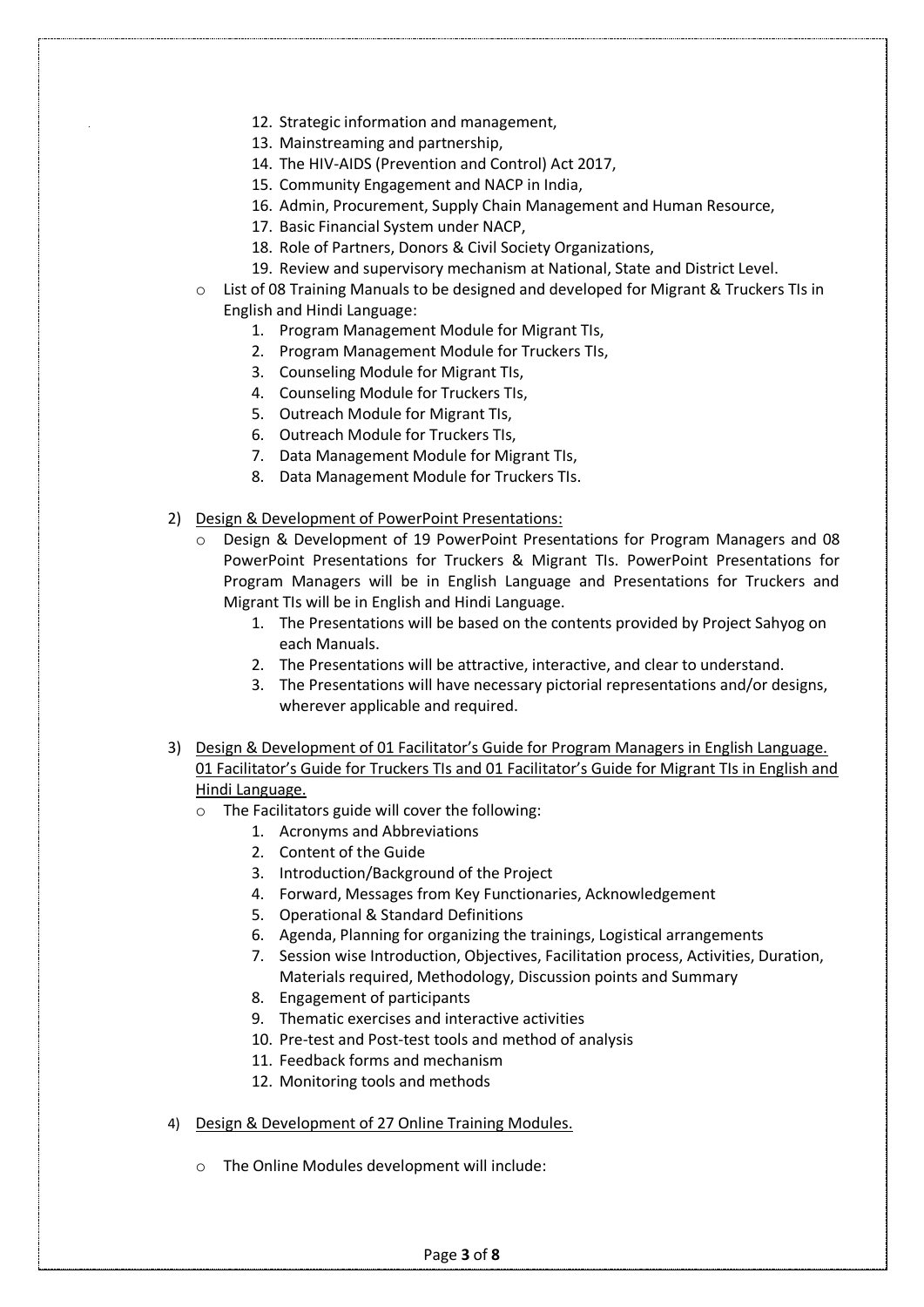- 12. Strategic information and management,
- 13. Mainstreaming and partnership,
- 14. The HIV-AIDS (Prevention and Control) Act 2017,
- 15. Community Engagement and NACP in India,
- 16. Admin, Procurement, Supply Chain Management and Human Resource,
- 17. Basic Financial System under NACP,
- 18. Role of Partners, Donors & Civil Society Organizations,
- 19. Review and supervisory mechanism at National, State and District Level.
- $\circ$  List of 08 Training Manuals to be designed and developed for Migrant & Truckers TIs in English and Hindi Language:
	- 1. Program Management Module for Migrant TIs,
	- 2. Program Management Module for Truckers TIs,
	- 3. Counseling Module for Migrant TIs,
	- 4. Counseling Module for Truckers TIs,
	- 5. Outreach Module for Migrant TIs,
	- 6. Outreach Module for Truckers TIs,
	- 7. Data Management Module for Migrant TIs,
	- 8. Data Management Module for Truckers TIs.
- 2) Design & Development of PowerPoint Presentations:
	- o Design & Development of 19 PowerPoint Presentations for Program Managers and 08 PowerPoint Presentations for Truckers & Migrant TIs. PowerPoint Presentations for Program Managers will be in English Language and Presentations for Truckers and Migrant TIs will be in English and Hindi Language.
		- 1. The Presentations will be based on the contents provided by Project Sahyog on each Manuals.
		- 2. The Presentations will be attractive, interactive, and clear to understand.
		- 3. The Presentations will have necessary pictorial representations and/or designs, wherever applicable and required.
- 3) Design & Development of 01 Facilitator's Guide for Program Managers in English Language. 01 Facilitator's Guide for Truckers TIs and 01 Facilitator's Guide for Migrant TIs in English and Hindi Language.
	- o The Facilitators guide will cover the following:
		- 1. Acronyms and Abbreviations
		- 2. Content of the Guide
		- 3. Introduction/Background of the Project
		- 4. Forward, Messages from Key Functionaries, Acknowledgement
		- 5. Operational & Standard Definitions
		- 6. Agenda, Planning for organizing the trainings, Logistical arrangements
		- 7. Session wise Introduction, Objectives, Facilitation process, Activities, Duration, Materials required, Methodology, Discussion points and Summary
		- 8. Engagement of participants
		- 9. Thematic exercises and interactive activities
		- 10. Pre-test and Post-test tools and method of analysis
		- 11. Feedback forms and mechanism
		- 12. Monitoring tools and methods
- 4) Design & Development of 27 Online Training Modules.
	- o The Online Modules development will include: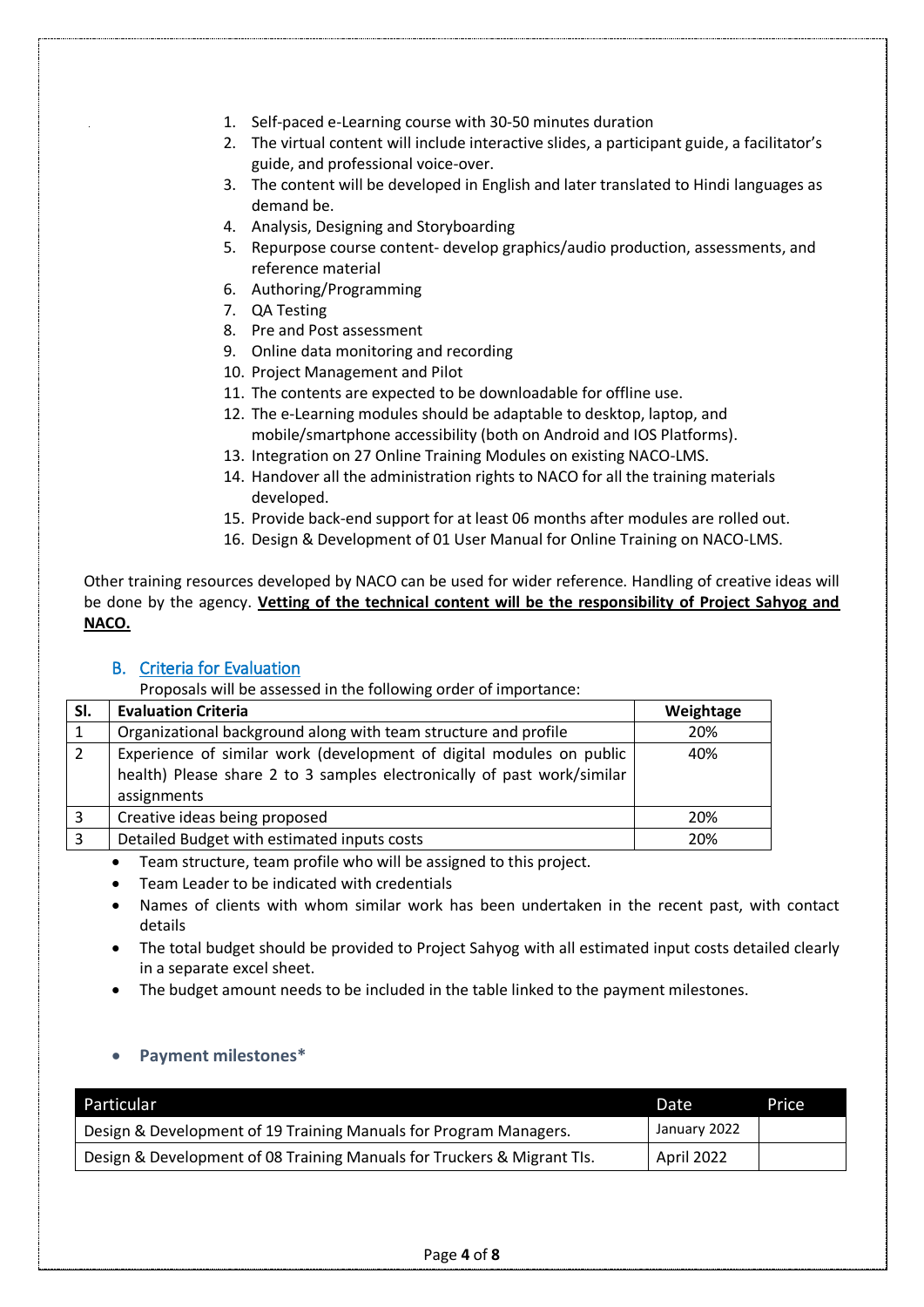- 1. Self-paced e-Learning course with 30-50 minutes duration
- 2. The virtual content will include interactive slides, a participant guide, a facilitator's guide, and professional voice-over.
- 3. The content will be developed in English and later translated to Hindi languages as demand be.
- 4. Analysis, Designing and Storyboarding
- 5. Repurpose course content- develop graphics/audio production, assessments, and reference material
- 6. Authoring/Programming
- 7. QA Testing
- 8. Pre and Post assessment
- 9. Online data monitoring and recording
- 10. Project Management and Pilot
- 11. The contents are expected to be downloadable for offline use.
- 12. The e-Learning modules should be adaptable to desktop, laptop, and mobile/smartphone accessibility (both on Android and IOS Platforms).
- 13. Integration on 27 Online Training Modules on existing NACO-LMS.
- 14. Handover all the administration rights to NACO for all the training materials developed.
- 15. Provide back-end support for at least 06 months after modules are rolled out.
- 16. Design & Development of 01 User Manual for Online Training on NACO-LMS.

Other training resources developed by NACO can be used for wider reference. Handling of creative ideas will be done by the agency. **Vetting of the technical content will be the responsibility of Project Sahyog and NACO.**

## B. Criteria for Evaluation

Proposals will be assessed in the following order of importance:

| SI. | <b>Evaluation Criteria</b>                                                                                                                                     | Weightage |
|-----|----------------------------------------------------------------------------------------------------------------------------------------------------------------|-----------|
|     | Organizational background along with team structure and profile                                                                                                | 20%       |
|     | Experience of similar work (development of digital modules on public<br>health) Please share 2 to 3 samples electronically of past work/similar<br>assignments | 40%       |
|     | Creative ideas being proposed                                                                                                                                  | 20%       |
|     | Detailed Budget with estimated inputs costs                                                                                                                    | 20%       |

- Team structure, team profile who will be assigned to this project.
- Team Leader to be indicated with credentials
- Names of clients with whom similar work has been undertaken in the recent past, with contact details
- The total budget should be provided to Project Sahyog with all estimated input costs detailed clearly in a separate excel sheet.
- The budget amount needs to be included in the table linked to the payment milestones.

## **Payment milestones\***

| <b>Particular</b>                                                       | Date         | Price |
|-------------------------------------------------------------------------|--------------|-------|
| Design & Development of 19 Training Manuals for Program Managers.       | January 2022 |       |
| Design & Development of 08 Training Manuals for Truckers & Migrant TIs. | April 2022   |       |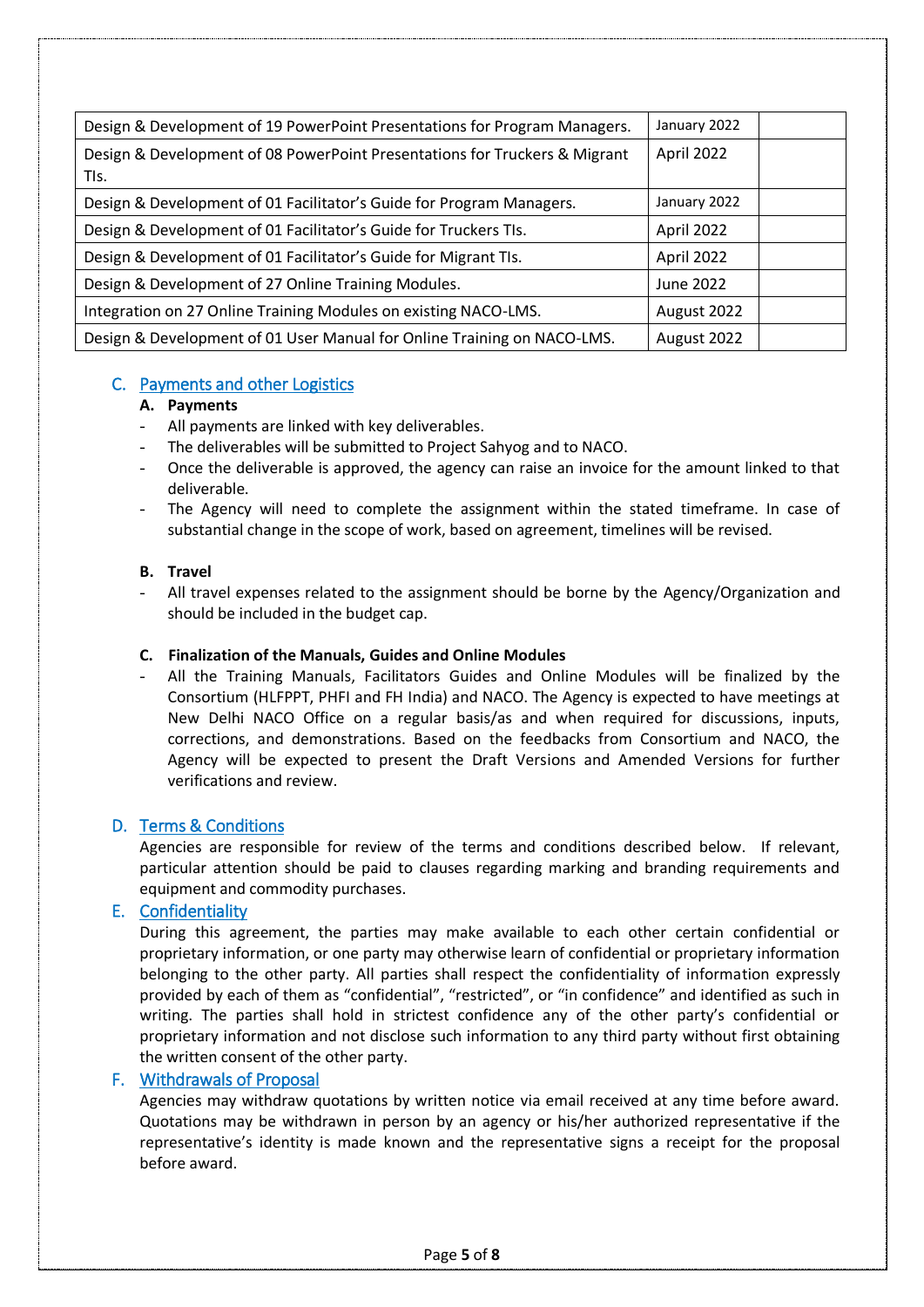| Design & Development of 19 PowerPoint Presentations for Program Managers.          | January 2022 |
|------------------------------------------------------------------------------------|--------------|
| Design & Development of 08 PowerPoint Presentations for Truckers & Migrant<br>TIs. | April 2022   |
| Design & Development of 01 Facilitator's Guide for Program Managers.               | January 2022 |
| Design & Development of 01 Facilitator's Guide for Truckers TIs.                   | April 2022   |
| Design & Development of 01 Facilitator's Guide for Migrant TIs.                    | April 2022   |
| Design & Development of 27 Online Training Modules.                                | June 2022    |
| Integration on 27 Online Training Modules on existing NACO-LMS.                    | August 2022  |
| Design & Development of 01 User Manual for Online Training on NACO-LMS.            | August 2022  |

## C. Payments and other Logistics

#### **A. Payments**

- All payments are linked with key deliverables.
- The deliverables will be submitted to Project Sahyog and to NACO.
- Once the deliverable is approved, the agency can raise an invoice for the amount linked to that deliverable.
- The Agency will need to complete the assignment within the stated timeframe. In case of substantial change in the scope of work, based on agreement, timelines will be revised.

#### **B. Travel**

All travel expenses related to the assignment should be borne by the Agency/Organization and should be included in the budget cap.

#### **C. Finalization of the Manuals, Guides and Online Modules**

- All the Training Manuals, Facilitators Guides and Online Modules will be finalized by the Consortium (HLFPPT, PHFI and FH India) and NACO. The Agency is expected to have meetings at New Delhi NACO Office on a regular basis/as and when required for discussions, inputs, corrections, and demonstrations. Based on the feedbacks from Consortium and NACO, the Agency will be expected to present the Draft Versions and Amended Versions for further verifications and review.

### D. Terms & Conditions

Agencies are responsible for review of the terms and conditions described below. If relevant, particular attention should be paid to clauses regarding marking and branding requirements and equipment and commodity purchases.

#### E. Confidentiality

During this agreement, the parties may make available to each other certain confidential or proprietary information, or one party may otherwise learn of confidential or proprietary information belonging to the other party. All parties shall respect the confidentiality of information expressly provided by each of them as "confidential", "restricted", or "in confidence" and identified as such in writing. The parties shall hold in strictest confidence any of the other party's confidential or proprietary information and not disclose such information to any third party without first obtaining the written consent of the other party.

#### F. Withdrawals of Proposal

Agencies may withdraw quotations by written notice via email received at any time before award. Quotations may be withdrawn in person by an agency or his/her authorized representative if the representative's identity is made known and the representative signs a receipt for the proposal before award.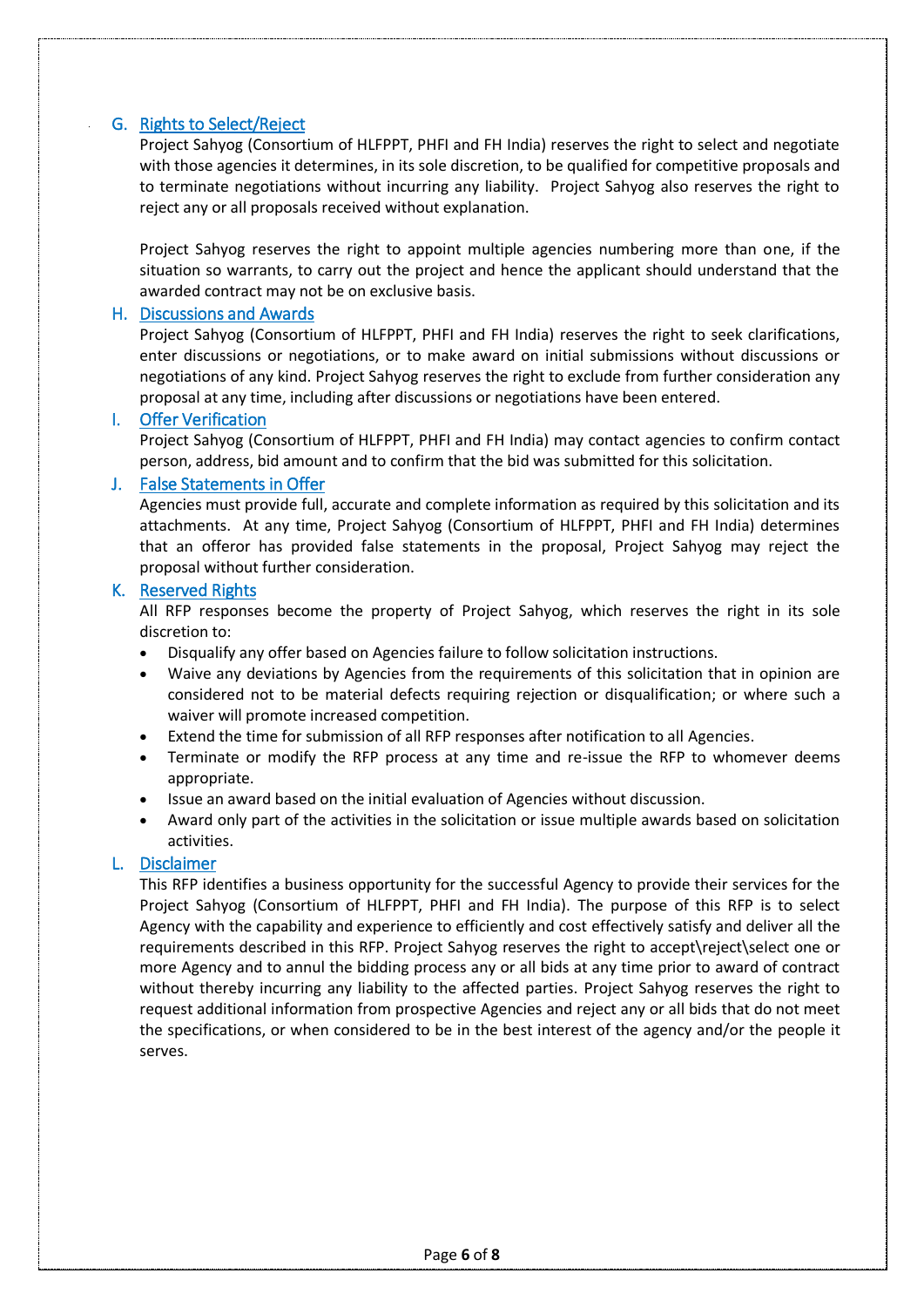## G. Rights to Select/Reject

Project Sahyog (Consortium of HLFPPT, PHFI and FH India) reserves the right to select and negotiate with those agencies it determines, in its sole discretion, to be qualified for competitive proposals and to terminate negotiations without incurring any liability. Project Sahyog also reserves the right to reject any or all proposals received without explanation.

Project Sahyog reserves the right to appoint multiple agencies numbering more than one, if the situation so warrants, to carry out the project and hence the applicant should understand that the awarded contract may not be on exclusive basis.

#### H. Discussions and Awards

Project Sahyog (Consortium of HLFPPT, PHFI and FH India) reserves the right to seek clarifications, enter discussions or negotiations, or to make award on initial submissions without discussions or negotiations of any kind. Project Sahyog reserves the right to exclude from further consideration any proposal at any time, including after discussions or negotiations have been entered.

#### I. Offer Verification

Project Sahyog (Consortium of HLFPPT, PHFI and FH India) may contact agencies to confirm contact person, address, bid amount and to confirm that the bid was submitted for this solicitation.

### J. False Statements in Offer

Agencies must provide full, accurate and complete information as required by this solicitation and its attachments. At any time, Project Sahyog (Consortium of HLFPPT, PHFI and FH India) determines that an offeror has provided false statements in the proposal, Project Sahyog may reject the proposal without further consideration.

#### K. Reserved Rights

All RFP responses become the property of Project Sahyog, which reserves the right in its sole discretion to:

- Disqualify any offer based on Agencies failure to follow solicitation instructions.
- Waive any deviations by Agencies from the requirements of this solicitation that in opinion are considered not to be material defects requiring rejection or disqualification; or where such a waiver will promote increased competition.
- Extend the time for submission of all RFP responses after notification to all Agencies.
- Terminate or modify the RFP process at any time and re-issue the RFP to whomever deems appropriate.
- Issue an award based on the initial evaluation of Agencies without discussion.
- Award only part of the activities in the solicitation or issue multiple awards based on solicitation activities.

## L. Disclaimer

This RFP identifies a business opportunity for the successful Agency to provide their services for the Project Sahyog (Consortium of HLFPPT, PHFI and FH India). The purpose of this RFP is to select Agency with the capability and experience to efficiently and cost effectively satisfy and deliver all the requirements described in this RFP. Project Sahyog reserves the right to accept\reject\select one or more Agency and to annul the bidding process any or all bids at any time prior to award of contract without thereby incurring any liability to the affected parties. Project Sahyog reserves the right to request additional information from prospective Agencies and reject any or all bids that do not meet the specifications, or when considered to be in the best interest of the agency and/or the people it serves.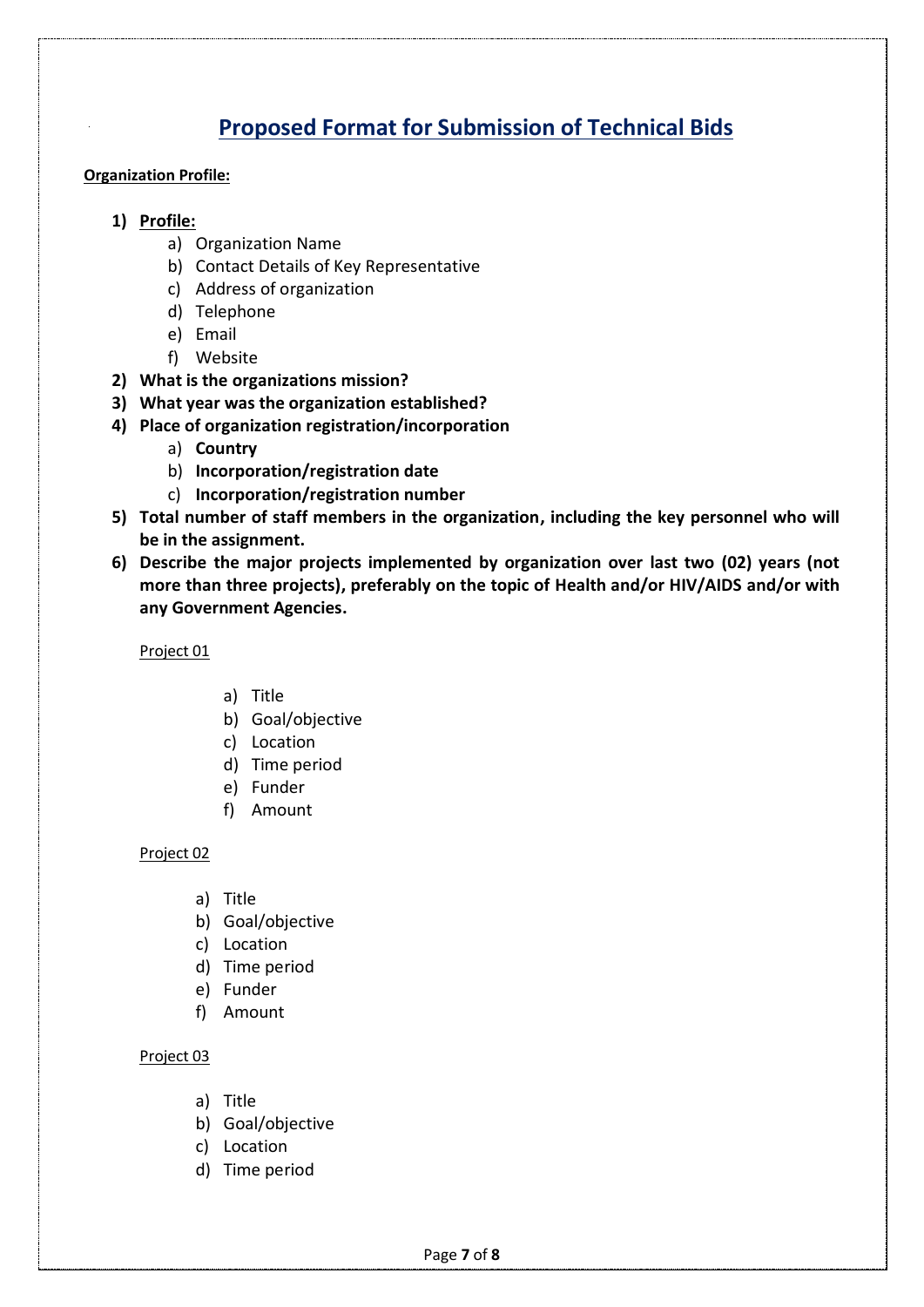# **Proposed Format for Submission of Technical Bids**

## **Organization Profile:**

- **1) Profile:**
	- a) Organization Name
	- b) Contact Details of Key Representative
	- c) Address of organization
	- d) Telephone
	- e) Email
	- f) Website
- **2) What is the organizations mission?**
- **3) What year was the organization established?**
- **4) Place of organization registration/incorporation** 
	- a) **Country**
	- b) **Incorporation/registration date**
	- c) **Incorporation/registration number**
- **5) Total number of staff members in the organization, including the key personnel who will be in the assignment.**
- **6) Describe the major projects implemented by organization over last two (02) years (not more than three projects), preferably on the topic of Health and/or HIV/AIDS and/or with any Government Agencies.**

Project 01

- a) Title
- b) Goal/objective
- c) Location
- d) Time period
- e) Funder
- f) Amount

## Project 02

- a) Title
- b) Goal/objective
- c) Location
- d) Time period
- e) Funder
- f) Amount

## Project 03

- a) Title
- b) Goal/objective
- c) Location
- d) Time period